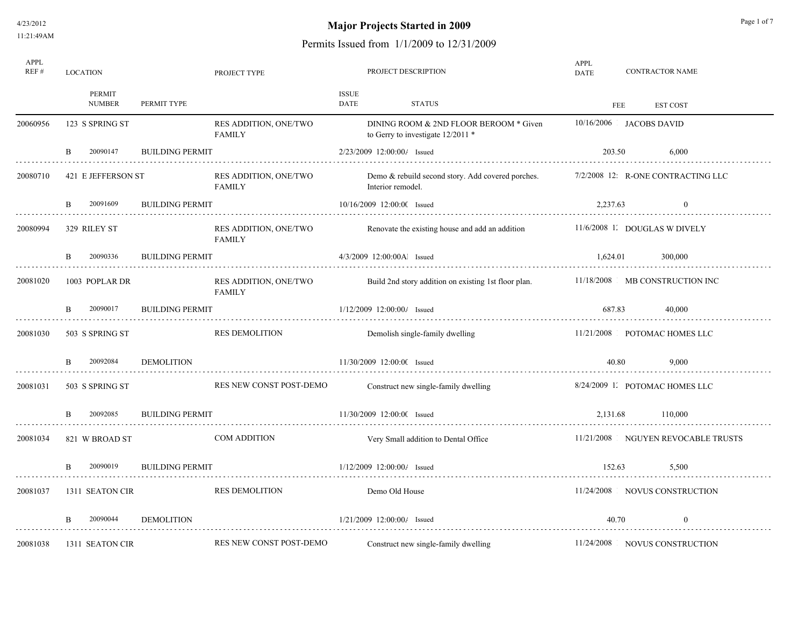# **Major Projects Started in 2009** Page 1 of 7

| APPL<br>REF# | <b>LOCATION</b>         |                        | PROJECT TYPE                           |                      | PROJECT DESCRIPTION                                                           | APPL<br><b>DATE</b>     |          | <b>CONTRACTOR NAME</b>             |
|--------------|-------------------------|------------------------|----------------------------------------|----------------------|-------------------------------------------------------------------------------|-------------------------|----------|------------------------------------|
|              | PERMIT<br><b>NUMBER</b> | PERMIT TYPE            |                                        | <b>ISSUE</b><br>DATE | <b>STATUS</b>                                                                 |                         | FEE      | <b>EST COST</b>                    |
| 20060956     | 123 S SPRING ST         |                        | RES ADDITION, ONE/TWO<br><b>FAMILY</b> |                      | DINING ROOM & 2ND FLOOR BEROOM * Given<br>to Gerry to investigate $12/2011$ * | 10/16/2006 JACOBS DAVID |          |                                    |
|              | 20090147<br>B           | <b>BUILDING PERMIT</b> |                                        |                      | 2/23/2009 12:00:00/ Issued                                                    | 203.50                  |          | 6,000                              |
| 20080710     | 421 E JEFFERSON ST      |                        | RES ADDITION, ONE/TWO<br>FAMILY        |                      | Demo & rebuild second story. Add covered porches.<br>Interior remodel.        |                         |          | 7/2/2008 12: R-ONE CONTRACTING LLC |
|              | 20091609<br>B           | <b>BUILDING PERMIT</b> |                                        |                      | 10/16/2009 12:00:00 Issued                                                    |                         | 2,237.63 | $\bf{0}$                           |
| 20080994     | 329 RILEY ST            |                        | RES ADDITION, ONE/TWO<br>FAMILY        |                      | Renovate the existing house and add an addition                               |                         |          | 11/6/2008 1. DOUGLAS W DIVELY      |
|              | 20090336<br>B           | <b>BUILDING PERMIT</b> |                                        |                      | 4/3/2009 12:00:00Al Issued                                                    |                         | 1,624.01 | 300,000                            |
| 20081020     | 1003 POPLAR DR          |                        | RES ADDITION, ONE/TWO<br><b>FAMILY</b> |                      | Build 2nd story addition on existing 1st floor plan.                          |                         |          | 11/18/2008 MB CONSTRUCTION INC     |
|              | 20090017<br>B           | <b>BUILDING PERMIT</b> |                                        |                      | 1/12/2009 12:00:00/ Issued                                                    | 687.83                  |          | 40,000                             |
| 20081030     | 503 S SPRING ST         |                        | <b>RES DEMOLITION</b>                  |                      | Demolish single-family dwelling                                               |                         |          | 11/21/2008 POTOMAC HOMES LLC       |
|              | 20092084<br>B           | <b>DEMOLITION</b>      |                                        |                      | 11/30/2009 12:00:00 Issued                                                    |                         | 40.80    | 9,000                              |
| 20081031     | 503 S SPRING ST         |                        | RES NEW CONST POST-DEMO                |                      | Construct new single-family dwelling                                          |                         |          | 8/24/2009 1. POTOMAC HOMES LLC     |
|              | 20092085                | <b>BUILDING PERMIT</b> |                                        |                      | 11/30/2009 12:00:00 Issued                                                    |                         | 2,131.68 | 110,000                            |
| 20081034     | 821 W BROAD ST          |                        | COM ADDITION                           |                      | Very Small addition to Dental Office                                          |                         |          | 11/21/2008 NGUYEN REVOCABLE TRUSTS |
|              | 20090019<br>B           | <b>BUILDING PERMIT</b> |                                        |                      | 1/12/2009 12:00:00/ Issued                                                    |                         | 152.63   | 5,500                              |
| 20081037     | 1311 SEATON CIR         |                        | <b>RES DEMOLITION</b>                  |                      | Demo Old House                                                                |                         |          | 11/24/2008 NOVUS CONSTRUCTION      |
|              | 20090044                | <b>DEMOLITION</b>      |                                        |                      | $1/21/2009$ $12:00:004$ Issued                                                |                         | 40.70    | $\bf{0}$                           |
| 20081038     | 1311 SEATON CIR         |                        | RES NEW CONST POST-DEMO                |                      | Construct new single-family dwelling                                          |                         |          | 11/24/2008 NOVUS CONSTRUCTION      |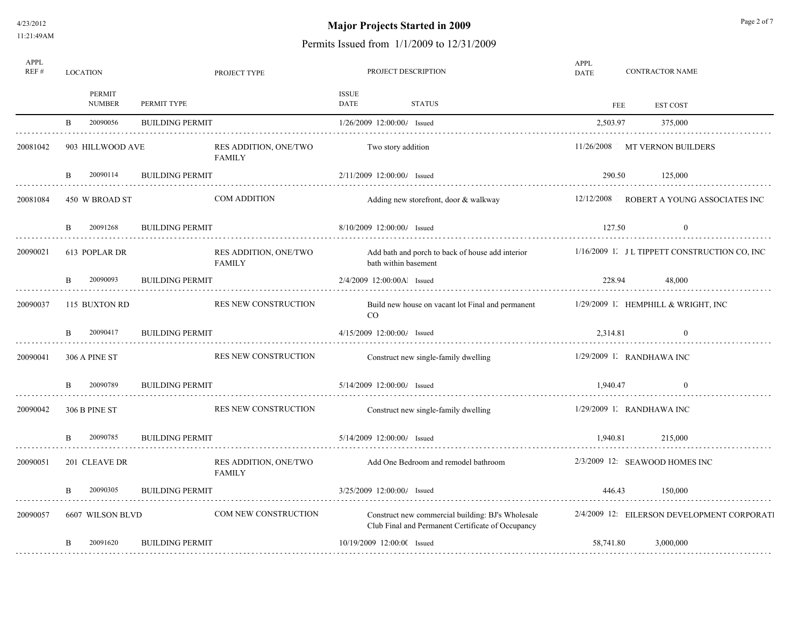4/23/2012 11:21:49AM

# **Major Projects Started in 2009** Page 2 of 7

| APPL<br>REF# | <b>LOCATION</b>          |                        | PROJECT TYPE                           |                            |                 | PROJECT DESCRIPTION                                                                                    | APPL<br><b>DATE</b> |     | <b>CONTRACTOR NAME</b>                        |  |
|--------------|--------------------------|------------------------|----------------------------------------|----------------------------|-----------------|--------------------------------------------------------------------------------------------------------|---------------------|-----|-----------------------------------------------|--|
|              | PERMIT<br><b>NUMBER</b>  | PERMIT TYPE            |                                        | <b>ISSUE</b><br>DATE       |                 | STATUS                                                                                                 |                     | FEE | <b>EST COST</b>                               |  |
|              | 20090056<br>$\mathbf{B}$ | <b>BUILDING PERMIT</b> |                                        |                            |                 | 1/26/2009 12:00:00/ Issued                                                                             | 2,503.97            |     | 375,000                                       |  |
| 20081042     | 903 HILLWOOD AVE         |                        | RES ADDITION, ONE/TWO<br><b>FAMILY</b> |                            |                 | Two story addition                                                                                     |                     |     | 11/26/2008 MT VERNON BUILDERS                 |  |
| .            | 20090114<br>B            | <b>BUILDING PERMIT</b> |                                        |                            |                 | 2/11/2009 12:00:00/ Issued                                                                             | 290.50              |     | 125,000                                       |  |
| 20081084     | 450 W BROAD ST           |                        | <b>COM ADDITION</b>                    |                            |                 | Adding new storefront, door & walkway                                                                  |                     |     | 12/12/2008 ROBERT A YOUNG ASSOCIATES INC      |  |
| .            | 20091268<br>B            | <b>BUILDING PERMIT</b> |                                        | 8/10/2009 12:00:00/ Issued |                 |                                                                                                        | 127.50              |     | $\theta$                                      |  |
| 20090021     | 613 POPLAR DR            |                        | RES ADDITION, ONE/TWO<br><b>FAMILY</b> |                            |                 | Add bath and porch to back of house add interior<br>bath within basement                               |                     |     | 1/16/2009 1. J L TIPPETT CONSTRUCTION CO, INC |  |
|              | 20090093<br>B.           | <b>BUILDING PERMIT</b> |                                        | 2/4/2009 12:00:00Al Issued |                 |                                                                                                        | 228.94              |     | 48,000                                        |  |
| 20090037     | 115 BUXTON RD            |                        | RES NEW CONSTRUCTION                   |                            | CO <sub>.</sub> | Build new house on vacant lot Final and permanent                                                      |                     |     | 1/29/2009 1. HEMPHILL & WRIGHT, INC           |  |
|              | 20090417<br>B.           | <b>BUILDING PERMIT</b> |                                        |                            |                 | 4/15/2009 12:00:00/ Issued                                                                             | 2.314.81            |     | $\Omega$                                      |  |
| 20090041     | 306 A PINE ST            |                        | RES NEW CONSTRUCTION                   |                            |                 | Construct new single-family dwelling                                                                   |                     |     | $1/29/2009$ 1. RANDHAWA INC                   |  |
|              | 20090789                 | <b>BUILDING PERMIT</b> |                                        |                            |                 | 5/14/2009 12:00:00/ Issued                                                                             | 1.940.47            |     |                                               |  |
| 20090042     | 306 B PINE ST            |                        | RES NEW CONSTRUCTION                   |                            |                 | Construct new single-family dwelling                                                                   |                     |     | $1/29/2009$ 1. RANDHAWA INC                   |  |
|              | 20090785                 | <b>BUILDING PERMIT</b> |                                        |                            |                 | 5/14/2009 12:00:00/ Issued                                                                             | 1.940.81            |     | 215,000                                       |  |
| 20090051     | 201 CLEAVE DR            |                        | RES ADDITION, ONE/TWO<br><b>FAMILY</b> |                            |                 | Add One Bedroom and remodel bathroom                                                                   |                     |     | 2/3/2009 12: SEAWOOD HOMES INC                |  |
|              | 20090305                 | <b>BUILDING PERMIT</b> |                                        |                            |                 | 3/25/2009 12:00:00/ Issued                                                                             | 446.43              |     | 150,000                                       |  |
| 20090057     | 6607 WILSON BLVD         |                        | COM NEW CONSTRUCTION                   |                            |                 | Construct new commercial building: BJ's Wholesale<br>Club Final and Permanent Certificate of Occupancy |                     |     | 2/4/2009 12: EILERSON DEVELOPMENT CORPORATI   |  |
|              | 20091620<br>B            | <b>BUILDING PERMIT</b> |                                        |                            |                 | 10/19/2009 12:00:00 Issued                                                                             | 58,741.80           |     | 3,000,000                                     |  |
| .            |                          |                        |                                        |                            |                 |                                                                                                        |                     |     |                                               |  |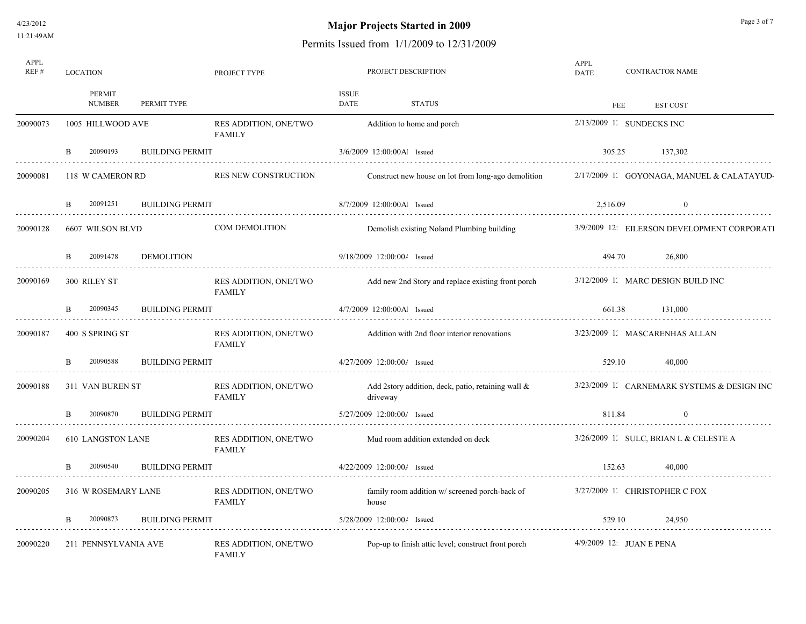# **Major Projects Started in 2009** Page 3 of 7

| APPL<br>REF# | <b>LOCATION</b>          |                        | PROJECT TYPE                           |                              | PROJECT DESCRIPTION                                   | APPL<br><b>DATE</b>       | <b>CONTRACTOR NAME</b> |                                             |  |
|--------------|--------------------------|------------------------|----------------------------------------|------------------------------|-------------------------------------------------------|---------------------------|------------------------|---------------------------------------------|--|
|              | PERMIT<br><b>NUMBER</b>  | PERMIT TYPE            |                                        | <b>ISSUE</b><br>DATE         | <b>STATUS</b>                                         | FEE                       |                        | <b>EST COST</b>                             |  |
| 20090073     | 1005 HILLWOOD AVE        |                        | RES ADDITION, ONE/TWO<br><b>FAMILY</b> |                              | Addition to home and porch                            | 2/13/2009 1. SUNDECKS INC |                        |                                             |  |
|              | 20090193<br><sub>B</sub> | <b>BUILDING PERMIT</b> |                                        | 3/6/2009 12:00:00Al Issued   |                                                       | 305.25                    |                        | 137.302                                     |  |
| 20090081     | 118 W CAMERON RD         |                        | RES NEW CONSTRUCTION                   |                              | Construct new house on lot from long-ago demolition   |                           |                        | 2/17/2009 1 GOYONAGA, MANUEL & CALATAYUD    |  |
|              | 20091251<br>B.           | <b>BUILDING PERMIT</b> |                                        | 8/7/2009 12:00:00Al Issued   |                                                       | 2,516.09                  |                        | $\theta$                                    |  |
| 20090128     | 6607 WILSON BLVD         |                        | <b>COM DEMOLITION</b>                  |                              | Demolish existing Noland Plumbing building            |                           |                        | 3/9/2009 12: EILERSON DEVELOPMENT CORPORATI |  |
|              | 20091478<br>B.           | <b>DEMOLITION</b>      |                                        | 9/18/2009 12:00:00/ Issued   |                                                       | 494.70                    |                        | 26,800                                      |  |
| 20090169     | 300 RILEY ST             |                        | RES ADDITION, ONE/TWO<br><b>FAMILY</b> |                              | Add new 2nd Story and replace existing front porch    |                           |                        | 3/12/2009 1. MARC DESIGN BUILD INC          |  |
|              | 20090345<br>B.           | <b>BUILDING PERMIT</b> |                                        | 4/7/2009 12:00:00Al Issued   |                                                       | 661.38                    |                        | 131,000                                     |  |
| 20090187     | 400 S SPRING ST          |                        | RES ADDITION, ONE/TWO<br><b>FAMILY</b> |                              | Addition with 2nd floor interior renovations          |                           |                        | 3/23/2009 1. MASCARENHAS ALLAN              |  |
|              | 20090588<br><sub>B</sub> | <b>BUILDING PERMIT</b> |                                        | 4/27/2009 12:00:00/ Issued   |                                                       | 529.10                    |                        | 40.000                                      |  |
| 20090188     | 311 VAN BUREN ST         |                        | RES ADDITION, ONE/TWO<br><b>FAMILY</b> | driveway                     | Add 2story addition, deck, patio, retaining wall $\&$ |                           |                        | 3/23/2009 1. CARNEMARK SYSTEMS & DESIGN INC |  |
|              | 20090870                 | <b>BUILDING PERMIT</b> |                                        | 5/27/2009 12:00:00/ Issued   |                                                       | 811.84                    |                        | $\theta$                                    |  |
| 20090204     | 610 LANGSTON LANE        |                        | RES ADDITION, ONE/TWO<br><b>FAMILY</b> |                              | Mud room addition extended on deck                    |                           |                        | $3/26/2009$ 1. SULC, BRIAN L & CELESTE A    |  |
|              | 20090540                 | <b>BUILDING PERMIT</b> |                                        | $4/22/2009$ 12:00:00/ Issued |                                                       | 152.63                    |                        | 40.000                                      |  |
| 20090205     | 316 W ROSEMARY LANE      |                        | RES ADDITION, ONE/TWO<br>FAMILY        | house                        | family room addition w/ screened porch-back of        |                           |                        | 3/27/2009 1. CHRISTOPHER C FOX              |  |
|              | 20090873                 | <b>BUILDING PERMIT</b> |                                        | 5/28/2009 12:00:00/ Issued   |                                                       | 529.10                    |                        | 24,950                                      |  |
| 20090220     | 211 PENNSYLVANIA AVE     |                        | RES ADDITION, ONE/TWO<br>FAMILY        |                              | Pop-up to finish attic level; construct front porch   | 4/9/2009 12: JUAN E PENA  |                        |                                             |  |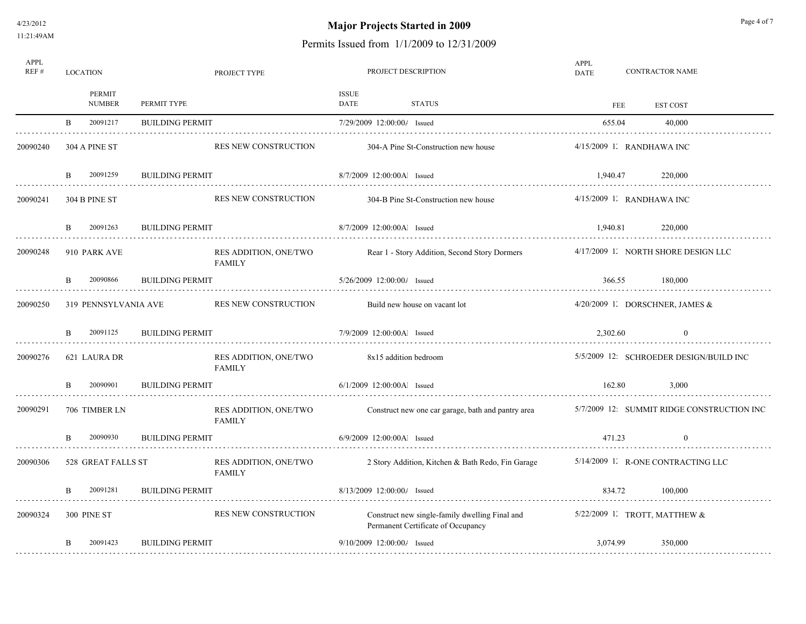# **Major Projects Started in 2009** Page 4 of 7

| APPL<br>REF# | <b>LOCATION</b>          |                        | PROJECT TYPE                           |                      | PROJECT DESCRIPTION                                                                  | APPL<br><b>DATE</b> |     | <b>CONTRACTOR NAME</b>                     |  |  |
|--------------|--------------------------|------------------------|----------------------------------------|----------------------|--------------------------------------------------------------------------------------|---------------------|-----|--------------------------------------------|--|--|
|              | PERMIT<br><b>NUMBER</b>  | PERMIT TYPE            |                                        | <b>ISSUE</b><br>DATE | <b>STATUS</b>                                                                        |                     | FEE | <b>EST COST</b>                            |  |  |
|              | $\mathbf{B}$<br>20091217 | <b>BUILDING PERMIT</b> |                                        |                      | 7/29/2009 12:00:00/ Issued                                                           | 655.04              |     | 40.000                                     |  |  |
| 20090240     | 304 A PINE ST            |                        | <b>RES NEW CONSTRUCTION</b>            |                      | 304-A Pine St-Construction new house                                                 |                     |     | $4/15/2009$ 1. RANDHAWA INC                |  |  |
| .            | 20091259<br>B            | <b>BUILDING PERMIT</b> |                                        |                      | 8/7/2009 12:00:00Al Issued                                                           | 1,940.47            |     | 220,000                                    |  |  |
| 20090241     | 304 B PINE ST            |                        | <b>RES NEW CONSTRUCTION</b>            |                      | 304-B Pine St-Construction new house                                                 |                     |     | 4/15/2009 1. RANDHAWA INC                  |  |  |
|              | 20091263<br>B            | <b>BUILDING PERMIT</b> |                                        |                      | 8/7/2009 12:00:00Al Issued                                                           | 1,940.81            |     | 220,000                                    |  |  |
| 20090248     | 910 PARK AVE             |                        | RES ADDITION, ONE/TWO<br><b>FAMILY</b> |                      | Rear 1 - Story Addition, Second Story Dormers                                        |                     |     | 4/17/2009 1 NORTH SHORE DESIGN LLC         |  |  |
|              | 20090866<br>B.           | <b>BUILDING PERMIT</b> |                                        |                      | $5/26/2009$ 12:00:00/ Issued                                                         | 366.55              |     | 180,000                                    |  |  |
| 20090250     | 319 PENNSYLVANIA AVE     |                        | RES NEW CONSTRUCTION                   |                      | Build new house on vacant lot                                                        |                     |     | $4/20/2009$ I. DORSCHNER, JAMES &          |  |  |
|              | 20091125<br><sub>B</sub> | <b>BUILDING PERMIT</b> |                                        |                      | 7/9/2009 12:00:00Al Issued                                                           | 2.302.60            |     | $\Omega$                                   |  |  |
| 20090276     | 621 LAURA DR             |                        | RES ADDITION, ONE/TWO<br><b>FAMILY</b> |                      | 8x15 addition bedroom                                                                |                     |     | 5/5/2009 12: SCHROEDER DESIGN/BUILD INC    |  |  |
|              | 20090901<br>B.           | <b>BUILDING PERMIT</b> |                                        |                      | $6/1/2009$ 12:00:00Al Issued                                                         | 162.80              |     | 3.000                                      |  |  |
| 20090291     | 706 TIMBER LN            |                        | RES ADDITION, ONE/TWO<br><b>FAMILY</b> |                      | Construct new one car garage, bath and pantry area                                   |                     |     | 5/7/2009 12: SUMMIT RIDGE CONSTRUCTION INC |  |  |
|              | 20090930<br>B.           | <b>BUILDING PERMIT</b> |                                        |                      | 6/9/2009 12:00:00Al Issued                                                           | 471.23              |     | $\theta$                                   |  |  |
| 20090306     | 528 GREAT FALLS ST       |                        | RES ADDITION, ONE/TWO<br><b>FAMILY</b> |                      | 2 Story Addition, Kitchen & Bath Redo, Fin Garage                                    |                     |     | 5/14/2009 1 R-ONE CONTRACTING LLC          |  |  |
| .            | 20091281<br>B.           | <b>BUILDING PERMIT</b> |                                        |                      | $8/13/2009$ 12:00:00/ Issued                                                         | 834.72              |     | 100,000                                    |  |  |
| 20090324     | 300 PINE ST              |                        | RES NEW CONSTRUCTION                   |                      | Construct new single-family dwelling Final and<br>Permanent Certificate of Occupancy |                     |     | 5/22/2009 1. TROTT, MATTHEW $\&$           |  |  |
|              | 20091423<br>B            | <b>BUILDING PERMIT</b> |                                        |                      | $9/10/2009$ 12:00:00/ Issued                                                         | 3,074.99            |     | 350,000                                    |  |  |
|              |                          |                        |                                        |                      |                                                                                      |                     |     |                                            |  |  |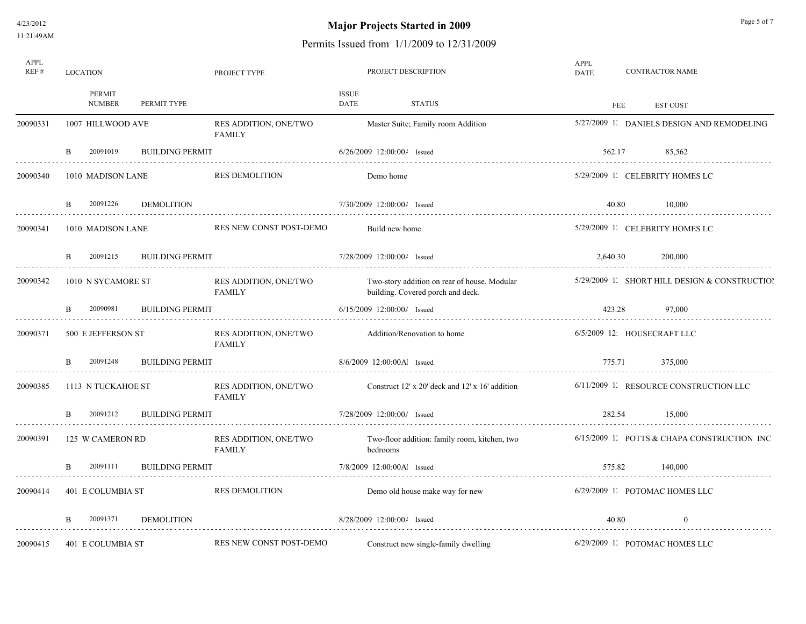# **Major Projects Started in 2009** Page 5 of 7

| APPL<br>REF# | <b>LOCATION</b>          |                        | PROJECT TYPE                           |                             |                              | PROJECT DESCRIPTION                                                               | APPL<br>DATE |        | <b>CONTRACTOR NAME</b>                        |
|--------------|--------------------------|------------------------|----------------------------------------|-----------------------------|------------------------------|-----------------------------------------------------------------------------------|--------------|--------|-----------------------------------------------|
|              | PERMIT<br><b>NUMBER</b>  | PERMIT TYPE            |                                        | <b>ISSUE</b><br><b>DATE</b> |                              | <b>STATUS</b>                                                                     |              | FEE    | <b>EST COST</b>                               |
| 20090331     | 1007 HILLWOOD AVE        |                        | RES ADDITION, ONE/TWO<br><b>FAMILY</b> |                             |                              | Master Suite; Family room Addition                                                |              |        | 5/27/2009 1. DANIELS DESIGN AND REMODELING    |
|              | 20091019<br><sub>B</sub> | <b>BUILDING PERMIT</b> |                                        |                             | 6/26/2009 12:00:00/ Issued   |                                                                                   | 562.17       |        | 85,562                                        |
| 20090340     | 1010 MADISON LANE        |                        | <b>RES DEMOLITION</b>                  |                             | Demo home                    |                                                                                   |              |        | 5/29/2009 1. CELEBRITY HOMES LC               |
|              | 20091226<br><sub>B</sub> | <b>DEMOLITION</b>      |                                        |                             | 7/30/2009 12:00:00/ Issued   |                                                                                   |              | 40.80  | 10,000                                        |
| 20090341     | 1010 MADISON LANE        |                        | RES NEW CONST POST-DEMO                |                             | Build new home               |                                                                                   |              |        | 5/29/2009 1. CELEBRITY HOMES LC               |
|              | 20091215<br>B            | <b>BUILDING PERMIT</b> |                                        |                             | 7/28/2009 12:00:00/ Issued   |                                                                                   | 2,640.30     |        | 200,000                                       |
| 20090342     | 1010 N SYCAMORE ST       |                        | RES ADDITION, ONE/TWO<br><b>FAMILY</b> |                             |                              | Two-story addition on rear of house. Modular<br>building. Covered porch and deck. |              |        | 5/29/2009 1. SHORT HILL DESIGN & CONSTRUCTION |
|              | 20090981<br>B.           | <b>BUILDING PERMIT</b> |                                        |                             | $6/15/2009$ 12:00:00/ Issued |                                                                                   | 423.28       |        | 97,000                                        |
| 20090371     | 500 E JEFFERSON ST       |                        | RES ADDITION, ONE/TWO<br>FAMILY        |                             |                              | Addition/Renovation to home                                                       |              |        | 6/5/2009 12 HOUSECRAFT LLC                    |
|              | 20091248                 | <b>BUILDING PERMIT</b> |                                        | 8/6/2009 12:00:00Al Issued  |                              |                                                                                   |              | 775.71 | 375,000                                       |
| 20090385     | 1113 N TUCKAHOE ST       |                        | RES ADDITION, ONE/TWO<br><b>FAMILY</b> |                             |                              | Construct 12' x 20' deck and 12' x 16' addition                                   |              |        | 6/11/2009 1. RESOURCE CONSTRUCTION LLC        |
|              | 20091212<br>B.           | <b>BUILDING PERMIT</b> |                                        | 7/28/2009 12:00:00/ Issued  |                              |                                                                                   | 282.54       |        | 15,000                                        |
| 20090391     | 125 W CAMERON RD         |                        | RES ADDITION, ONE/TWO<br><b>FAMILY</b> |                             | bedrooms                     | Two-floor addition: family room, kitchen, two                                     |              |        | 6/15/2009 1. POTTS & CHAPA CONSTRUCTION INC   |
|              | 20091111<br>B.           | <b>BUILDING PERMIT</b> |                                        |                             | 7/8/2009 12:00:00Al Issued   |                                                                                   | 575.82       |        | 140,000                                       |
| 20090414     | 401 E COLUMBIA ST        |                        | <b>RES DEMOLITION</b>                  |                             |                              | Demo old house make way for new                                                   |              |        | 6/29/2009 1. POTOMAC HOMES LLC                |
|              | 20091371<br>B.           | <b>DEMOLITION</b>      |                                        |                             | 8/28/2009 12:00:00/ Issued   |                                                                                   |              | 40.80  | $\theta$                                      |
| 20090415     | 401 E COLUMBIA ST        |                        | RES NEW CONST POST-DEMO                |                             |                              | Construct new single-family dwelling                                              |              |        | 6/29/2009 1. POTOMAC HOMES LLC                |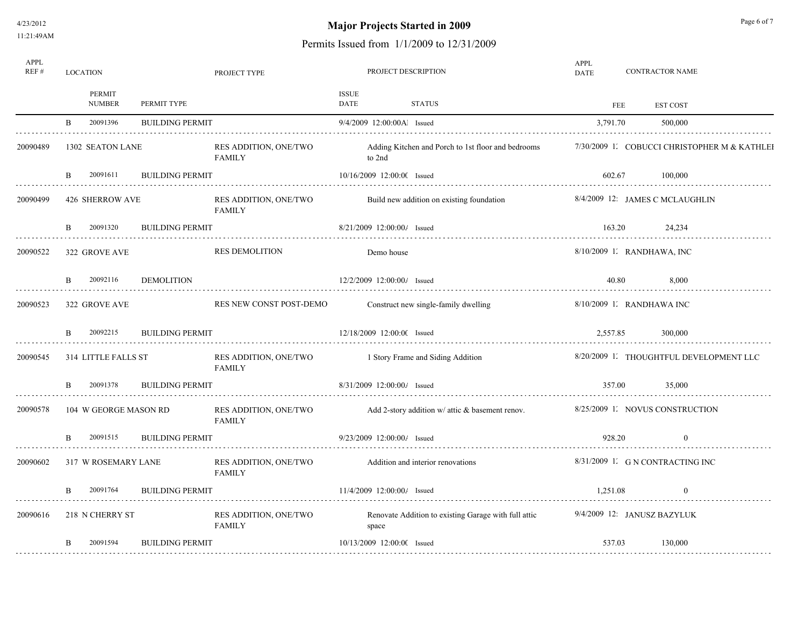4/23/2012 11:21:49AM

# **Major Projects Started in 2009** Page 6 of 7

| APPL<br>REF# |    | <b>LOCATION</b>         |                        | PROJECT TYPE                           |                      | PROJECT DESCRIPTION                  |                                                      | APPL<br>DATE                 | <b>CONTRACTOR NAME</b>                       |
|--------------|----|-------------------------|------------------------|----------------------------------------|----------------------|--------------------------------------|------------------------------------------------------|------------------------------|----------------------------------------------|
|              |    | PERMIT<br><b>NUMBER</b> | PERMIT TYPE            |                                        | <b>ISSUE</b><br>DATE | <b>STATUS</b>                        |                                                      | FEE                          | <b>EST COST</b>                              |
|              | B. | 20091396                | <b>BUILDING PERMIT</b> |                                        |                      | 9/4/2009 12:00:00Al Issued           |                                                      | 3,791.70                     | 500,000                                      |
| 20090489     |    | 1302 SEATON LANE        |                        | RES ADDITION, ONE/TWO<br><b>FAMILY</b> |                      | to 2nd                               | Adding Kitchen and Porch to 1st floor and bedrooms   |                              | 7/30/2009 1. COBUCCI CHRISTOPHER M & KATHLEI |
| .            | B. | 20091611                | <b>BUILDING PERMIT</b> |                                        |                      | 10/16/2009 12:00:00 Issued           |                                                      | 602.67                       | 100,000                                      |
| 20090499     |    | 426 SHERROW AVE         |                        | RES ADDITION, ONE/TWO<br><b>FAMILY</b> |                      |                                      | Build new addition on existing foundation            |                              | 8/4/2009 12: JAMES C MCLAUGHLIN              |
|              | B. | 20091320                | <b>BUILDING PERMIT</b> |                                        |                      | 8/21/2009 12:00:00/ Issued           |                                                      | 163.20                       | 24,234                                       |
| 20090522     |    | 322 GROVE AVE           |                        | <b>RES DEMOLITION</b>                  |                      | Demo house                           |                                                      | $8/10/2009$ 1. RANDHAWA, INC |                                              |
|              | B. | 20092116                | DEMOLITION             |                                        |                      | 12/2/2009 12:00:00/ Issued           |                                                      | 40.80                        | 8,000                                        |
| 20090523     |    | 322 GROVE AVE           |                        | RES NEW CONST POST-DEMO                |                      | Construct new single-family dwelling |                                                      | 8/10/2009 1. RANDHAWA INC    |                                              |
|              | B. | 20092215                | <b>BUILDING PERMIT</b> |                                        |                      | 12/18/2009 12:00:00 Issued           |                                                      | 2.557.85                     | 300,000                                      |
| 20090545     |    | 314 LITTLE FALLS ST     |                        | RES ADDITION, ONE/TWO<br>FAMILY        |                      | 1 Story Frame and Siding Addition    |                                                      |                              | 8/20/2009 1. THOUGHTFUL DEVELOPMENT LLC      |
| .            | B  | 20091378                | <b>BUILDING PERMIT</b> |                                        |                      | 8/31/2009 12:00:00/ Issued           |                                                      | 357.00                       | 35,000                                       |
| 20090578     |    | 104 W GEORGE MASON RD   |                        | RES ADDITION, ONE/TWO<br><b>FAMILY</b> |                      |                                      | Add 2-story addition $w$ attic $\&$ basement renov.  |                              | 8/25/2009 1. NOVUS CONSTRUCTION              |
|              | B. | 20091515                | <b>BUILDING PERMIT</b> |                                        |                      | $9/23/2009$ 12:00:00/ Issued         |                                                      | 928.20                       | $\theta$                                     |
| 20090602     |    | 317 W ROSEMARY LANE     |                        | RES ADDITION, ONE/TWO<br>FAMILY        |                      | Addition and interior renovations    |                                                      |                              | 8/31/2009 1. G N CONTRACTING INC             |
|              |    | 20091764                | <b>BUILDING PERMIT</b> |                                        |                      | $11/4/2009$ $12:00:00/$ Issued       |                                                      | 1.251.08                     | $\theta$                                     |
| 20090616     |    | 218 N CHERRY ST         |                        | RES ADDITION, ONE/TWO<br><b>FAMILY</b> |                      | space                                | Renovate Addition to existing Garage with full attic |                              | 9/4/2009 12: JANUSZ BAZYLUK                  |
|              | B. | 20091594                | <b>BUILDING PERMIT</b> |                                        |                      | 10/13/2009 12:00:00 Issued           |                                                      | 537.03                       | 130,000                                      |
|              |    |                         |                        |                                        |                      |                                      |                                                      |                              |                                              |